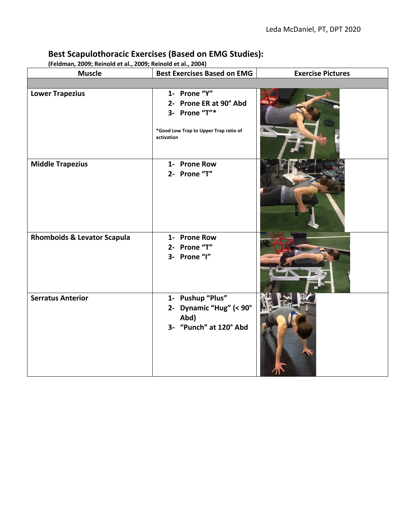## **Best Scapulothoracic Exercises (Based on EMG Studies):**

**(Feldman, 2009; Reinold et al., 2009; Reinold et al., 2004)**

| <b>Muscle</b>                          | <b>Best Exercises Based on EMG</b>                                                                             | <b>Exercise Pictures</b> |
|----------------------------------------|----------------------------------------------------------------------------------------------------------------|--------------------------|
|                                        |                                                                                                                |                          |
| <b>Lower Trapezius</b>                 | 1- Prone "Y"<br>2- Prone ER at 90° Abd<br>3- Prone "T"*<br>*Good Low Trap to Upper Trap ratio of<br>activation |                          |
| <b>Middle Trapezius</b>                | 1- Prone Row<br>2- Prone "T"                                                                                   |                          |
| <b>Rhomboids &amp; Levator Scapula</b> | 1- Prone Row<br>2- Prone "T"<br>3- Prone "I"                                                                   |                          |
| <b>Serratus Anterior</b>               | 1- Pushup "Plus"<br>2- Dynamic "Hug" (< 90°<br>Abd)<br>3- "Punch" at 120° Abd                                  |                          |